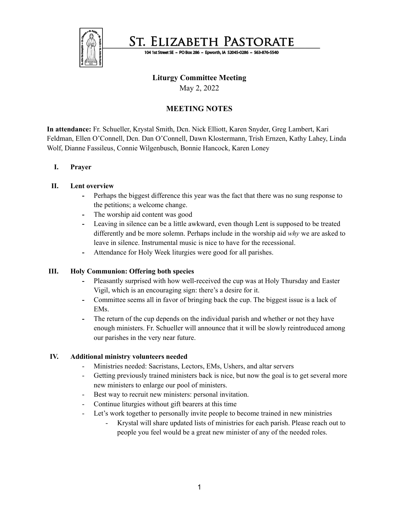

St. Elizabeth Pastorate

104 1st Street SE - PO Box 286 - Epworth, IA 52045-0286 - 563-876-5540

## **Liturgy Committee Meeting**

May 2, 2022

# **MEETING NOTES**

**In attendance:** Fr. Schueller, Krystal Smith, Dcn. Nick Elliott, Karen Snyder, Greg Lambert, Kari Feldman, Ellen O'Connell, Dcn. Dan O'Connell, Dawn Klostermann, Trish Ernzen, Kathy Lahey, Linda Wolf, Dianne Fassileus, Connie Wilgenbusch, Bonnie Hancock, Karen Loney

## **I. Prayer**

### **II. Lent overview**

- **-** Perhaps the biggest difference this year was the fact that there was no sung response to the petitions; a welcome change.
- **-** The worship aid content was good
- **-** Leaving in silence can be a little awkward, even though Lent is supposed to be treated differently and be more solemn. Perhaps include in the worship aid *why* we are asked to leave in silence. Instrumental music is nice to have for the recessional.
- **-** Attendance for Holy Week liturgies were good for all parishes.

### **III. Holy Communion: Offering both species**

- **-** Pleasantly surprised with how well-received the cup was at Holy Thursday and Easter Vigil, which is an encouraging sign: there's a desire for it.
- **-** Committee seems all in favor of bringing back the cup. The biggest issue is a lack of EMs.
- **-** The return of the cup depends on the individual parish and whether or not they have enough ministers. Fr. Schueller will announce that it will be slowly reintroduced among our parishes in the very near future.

### **IV. Additional ministry volunteers needed**

- Ministries needed: Sacristans, Lectors, EMs, Ushers, and altar servers
- Getting previously trained ministers back is nice, but now the goal is to get several more new ministers to enlarge our pool of ministers.
- Best way to recruit new ministers: personal invitation.
- Continue liturgies without gift bearers at this time
- Let's work together to personally invite people to become trained in new ministries
	- Krystal will share updated lists of ministries for each parish. Please reach out to people you feel would be a great new minister of any of the needed roles.